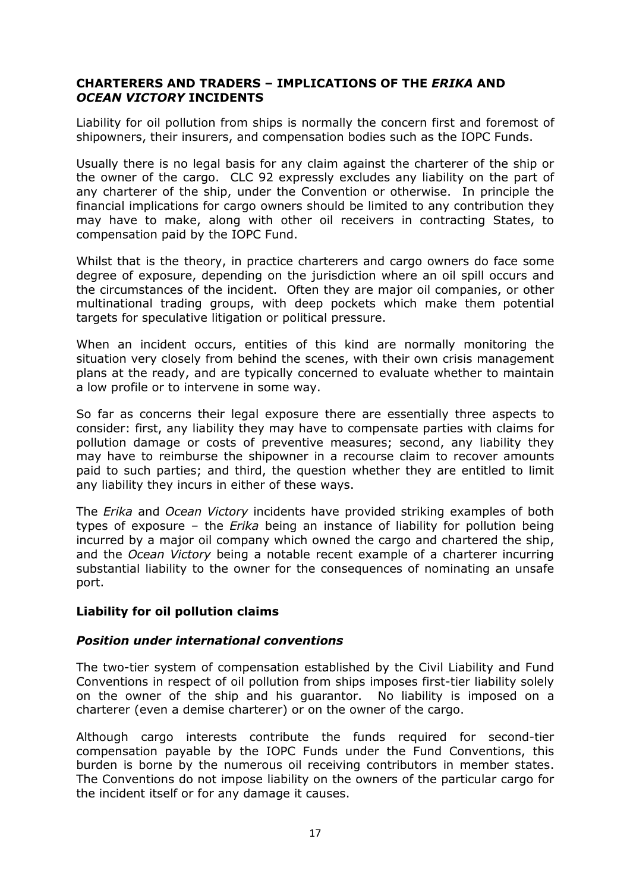### CHARTERERS AND TRADERS – IMPLICATIONS OF THE ERIKA AND OCEAN VICTORY INCIDENTS

Liability for oil pollution from ships is normally the concern first and foremost of shipowners, their insurers, and compensation bodies such as the IOPC Funds.

Usually there is no legal basis for any claim against the charterer of the ship or the owner of the cargo. CLC 92 expressly excludes any liability on the part of any charterer of the ship, under the Convention or otherwise. In principle the financial implications for cargo owners should be limited to any contribution they may have to make, along with other oil receivers in contracting States, to compensation paid by the IOPC Fund.

Whilst that is the theory, in practice charterers and cargo owners do face some degree of exposure, depending on the jurisdiction where an oil spill occurs and the circumstances of the incident. Often they are major oil companies, or other multinational trading groups, with deep pockets which make them potential targets for speculative litigation or political pressure.

When an incident occurs, entities of this kind are normally monitoring the situation very closely from behind the scenes, with their own crisis management plans at the ready, and are typically concerned to evaluate whether to maintain a low profile or to intervene in some way.

So far as concerns their legal exposure there are essentially three aspects to consider: first, any liability they may have to compensate parties with claims for pollution damage or costs of preventive measures; second, any liability they may have to reimburse the shipowner in a recourse claim to recover amounts paid to such parties; and third, the question whether they are entitled to limit any liability they incurs in either of these ways.

The Erika and Ocean Victory incidents have provided striking examples of both types of exposure – the  $Erika$  being an instance of liability for pollution being incurred by a major oil company which owned the cargo and chartered the ship, and the Ocean Victory being a notable recent example of a charterer incurring substantial liability to the owner for the consequences of nominating an unsafe port.

# Liability for oil pollution claims

#### Position under international conventions

The two-tier system of compensation established by the Civil Liability and Fund Conventions in respect of oil pollution from ships imposes first-tier liability solely on the owner of the ship and his guarantor. No liability is imposed on a charterer (even a demise charterer) or on the owner of the cargo.

Although cargo interests contribute the funds required for second-tier compensation payable by the IOPC Funds under the Fund Conventions, this burden is borne by the numerous oil receiving contributors in member states. The Conventions do not impose liability on the owners of the particular cargo for the incident itself or for any damage it causes.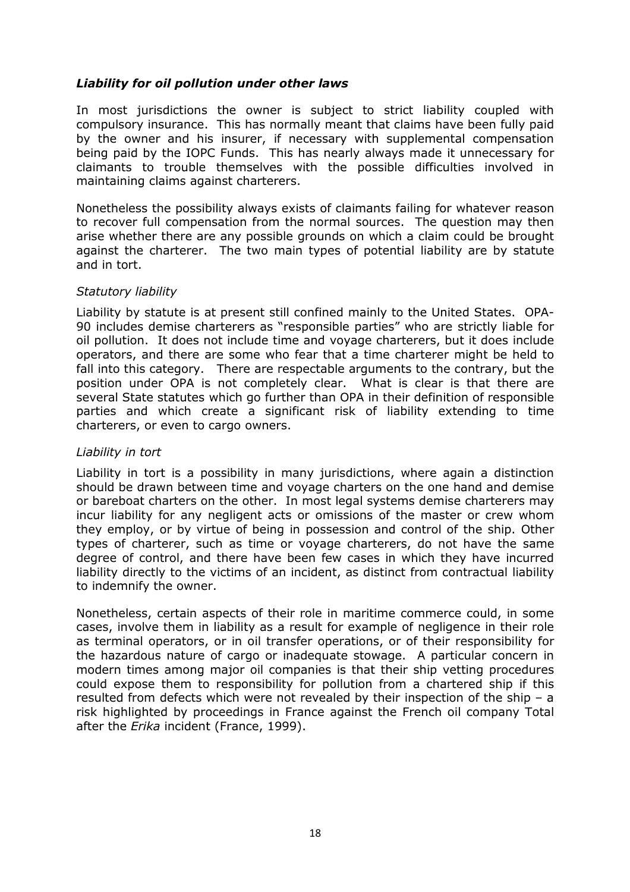# Liability for oil pollution under other laws

In most jurisdictions the owner is subject to strict liability coupled with compulsory insurance. This has normally meant that claims have been fully paid by the owner and his insurer, if necessary with supplemental compensation being paid by the IOPC Funds. This has nearly always made it unnecessary for claimants to trouble themselves with the possible difficulties involved in maintaining claims against charterers.

Nonetheless the possibility always exists of claimants failing for whatever reason to recover full compensation from the normal sources. The question may then arise whether there are any possible grounds on which a claim could be brought against the charterer. The two main types of potential liability are by statute and in tort.

### Statutory liability

Liability by statute is at present still confined mainly to the United States. OPA-90 includes demise charterers as "responsible parties" who are strictly liable for oil pollution. It does not include time and voyage charterers, but it does include operators, and there are some who fear that a time charterer might be held to fall into this category. There are respectable arguments to the contrary, but the position under OPA is not completely clear. What is clear is that there are several State statutes which go further than OPA in their definition of responsible parties and which create a significant risk of liability extending to time charterers, or even to cargo owners.

#### Liability in tort

Liability in tort is a possibility in many jurisdictions, where again a distinction should be drawn between time and voyage charters on the one hand and demise or bareboat charters on the other. In most legal systems demise charterers may incur liability for any negligent acts or omissions of the master or crew whom they employ, or by virtue of being in possession and control of the ship. Other types of charterer, such as time or voyage charterers, do not have the same degree of control, and there have been few cases in which they have incurred liability directly to the victims of an incident, as distinct from contractual liability to indemnify the owner.

Nonetheless, certain aspects of their role in maritime commerce could, in some cases, involve them in liability as a result for example of negligence in their role as terminal operators, or in oil transfer operations, or of their responsibility for the hazardous nature of cargo or inadequate stowage. A particular concern in modern times among major oil companies is that their ship vetting procedures could expose them to responsibility for pollution from a chartered ship if this resulted from defects which were not revealed by their inspection of the ship – a risk highlighted by proceedings in France against the French oil company Total after the *Erika* incident (France, 1999).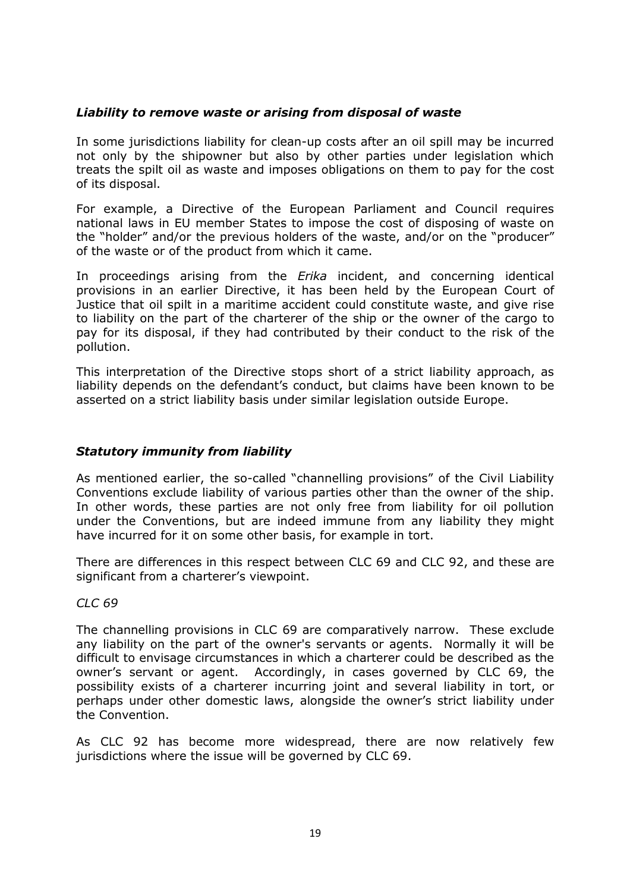# Liability to remove waste or arising from disposal of waste

In some jurisdictions liability for clean-up costs after an oil spill may be incurred not only by the shipowner but also by other parties under legislation which treats the spilt oil as waste and imposes obligations on them to pay for the cost of its disposal.

For example, a Directive of the European Parliament and Council requires national laws in EU member States to impose the cost of disposing of waste on the "holder" and/or the previous holders of the waste, and/or on the "producer" of the waste or of the product from which it came.

In proceedings arising from the *Erika* incident, and concerning identical provisions in an earlier Directive, it has been held by the European Court of Justice that oil spilt in a maritime accident could constitute waste, and give rise to liability on the part of the charterer of the ship or the owner of the cargo to pay for its disposal, if they had contributed by their conduct to the risk of the pollution.

This interpretation of the Directive stops short of a strict liability approach, as liability depends on the defendant's conduct, but claims have been known to be asserted on a strict liability basis under similar legislation outside Europe.

# Statutory immunity from liability

As mentioned earlier, the so-called "channelling provisions" of the Civil Liability Conventions exclude liability of various parties other than the owner of the ship. In other words, these parties are not only free from liability for oil pollution under the Conventions, but are indeed immune from any liability they might have incurred for it on some other basis, for example in tort.

There are differences in this respect between CLC 69 and CLC 92, and these are significant from a charterer's viewpoint.

CLC 69

The channelling provisions in CLC 69 are comparatively narrow. These exclude any liability on the part of the owner's servants or agents. Normally it will be difficult to envisage circumstances in which a charterer could be described as the owner's servant or agent. Accordingly, in cases governed by CLC 69, the possibility exists of a charterer incurring joint and several liability in tort, or perhaps under other domestic laws, alongside the owner's strict liability under the Convention.

As CLC 92 has become more widespread, there are now relatively few jurisdictions where the issue will be governed by CLC 69.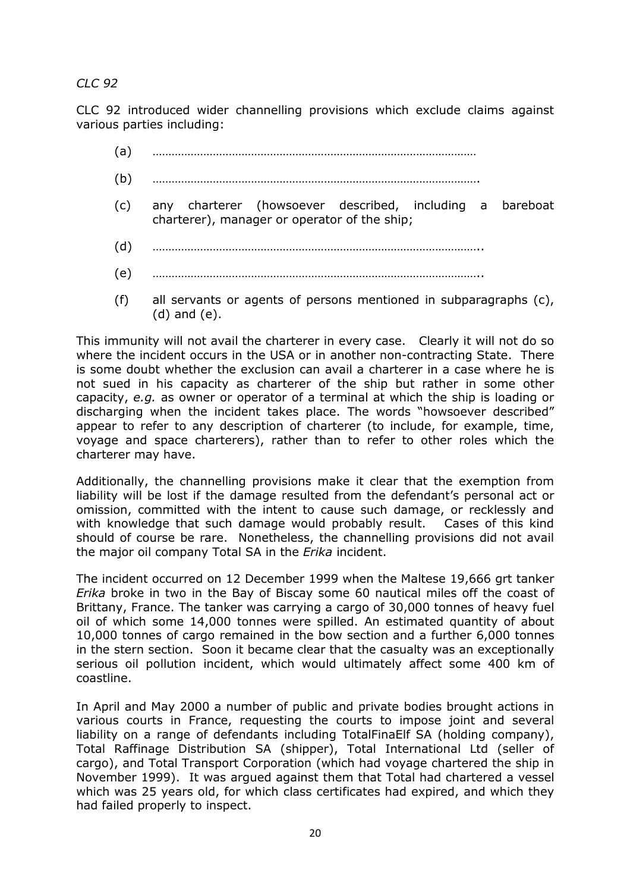# CLC 92

CLC 92 introduced wider channelling provisions which exclude claims against various parties including:

- (a) …………………………………………………………………………………………
- (b) ………………………………………………………………………………………….
- (c) any charterer (howsoever described, including a bareboat charterer), manager or operator of the ship;
- (d) …………………………………………………………………………………………..
- (e) …………………………………………………………………………………………..
- (f) all servants or agents of persons mentioned in subparagraphs (c), (d) and (e).

This immunity will not avail the charterer in every case. Clearly it will not do so where the incident occurs in the USA or in another non-contracting State. There is some doubt whether the exclusion can avail a charterer in a case where he is not sued in his capacity as charterer of the ship but rather in some other capacity, e.g. as owner or operator of a terminal at which the ship is loading or discharging when the incident takes place. The words "howsoever described" appear to refer to any description of charterer (to include, for example, time, voyage and space charterers), rather than to refer to other roles which the charterer may have.

Additionally, the channelling provisions make it clear that the exemption from liability will be lost if the damage resulted from the defendant's personal act or omission, committed with the intent to cause such damage, or recklessly and with knowledge that such damage would probably result. Cases of this kind should of course be rare. Nonetheless, the channelling provisions did not avail the major oil company Total SA in the *Erika* incident.

The incident occurred on 12 December 1999 when the Maltese 19,666 grt tanker Erika broke in two in the Bay of Biscay some 60 nautical miles off the coast of Brittany, France. The tanker was carrying a cargo of 30,000 tonnes of heavy fuel oil of which some 14,000 tonnes were spilled. An estimated quantity of about 10,000 tonnes of cargo remained in the bow section and a further 6,000 tonnes in the stern section. Soon it became clear that the casualty was an exceptionally serious oil pollution incident, which would ultimately affect some 400 km of coastline.

In April and May 2000 a number of public and private bodies brought actions in various courts in France, requesting the courts to impose joint and several liability on a range of defendants including TotalFinaElf SA (holding company), Total Raffinage Distribution SA (shipper), Total International Ltd (seller of cargo), and Total Transport Corporation (which had voyage chartered the ship in November 1999). It was argued against them that Total had chartered a vessel which was 25 years old, for which class certificates had expired, and which they had failed properly to inspect.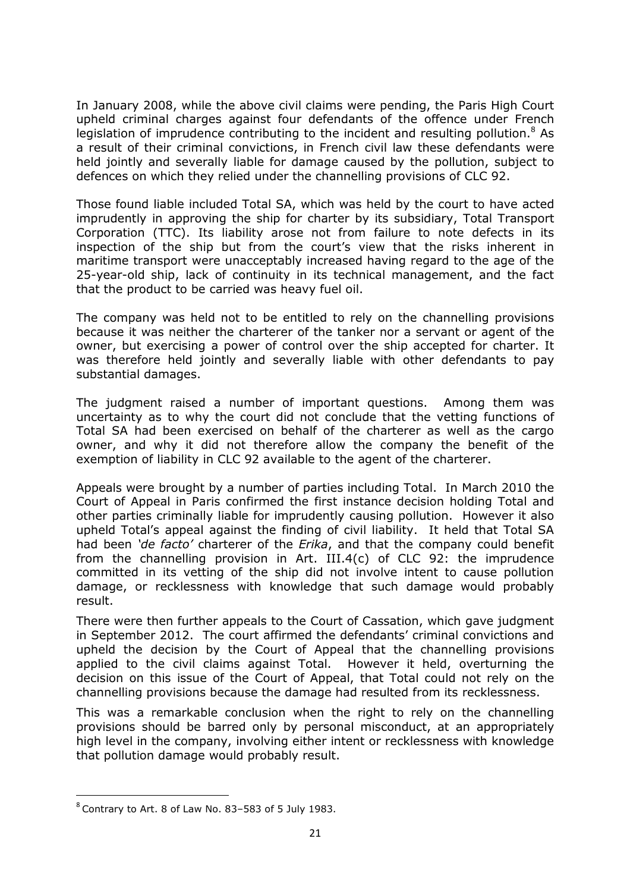In January 2008, while the above civil claims were pending, the Paris High Court upheld criminal charges against four defendants of the offence under French legislation of imprudence contributing to the incident and resulting pollution.<sup>8</sup> As a result of their criminal convictions, in French civil law these defendants were held jointly and severally liable for damage caused by the pollution, subject to defences on which they relied under the channelling provisions of CLC 92.

Those found liable included Total SA, which was held by the court to have acted imprudently in approving the ship for charter by its subsidiary, Total Transport Corporation (TTC). Its liability arose not from failure to note defects in its inspection of the ship but from the court's view that the risks inherent in maritime transport were unacceptably increased having regard to the age of the 25-year-old ship, lack of continuity in its technical management, and the fact that the product to be carried was heavy fuel oil.

The company was held not to be entitled to rely on the channelling provisions because it was neither the charterer of the tanker nor a servant or agent of the owner, but exercising a power of control over the ship accepted for charter. It was therefore held jointly and severally liable with other defendants to pay substantial damages.

The judgment raised a number of important questions. Among them was uncertainty as to why the court did not conclude that the vetting functions of Total SA had been exercised on behalf of the charterer as well as the cargo owner, and why it did not therefore allow the company the benefit of the exemption of liability in CLC 92 available to the agent of the charterer.

Appeals were brought by a number of parties including Total. In March 2010 the Court of Appeal in Paris confirmed the first instance decision holding Total and other parties criminally liable for imprudently causing pollution. However it also upheld Total's appeal against the finding of civil liability. It held that Total SA had been '*de facto'* charterer of the *Erika*, and that the company could benefit from the channelling provision in Art. III.4(c) of CLC 92: the imprudence committed in its vetting of the ship did not involve intent to cause pollution damage, or recklessness with knowledge that such damage would probably result.

There were then further appeals to the Court of Cassation, which gave judgment in September 2012. The court affirmed the defendants' criminal convictions and upheld the decision by the Court of Appeal that the channelling provisions applied to the civil claims against Total. However it held, overturning the decision on this issue of the Court of Appeal, that Total could not rely on the channelling provisions because the damage had resulted from its recklessness.

This was a remarkable conclusion when the right to rely on the channelling provisions should be barred only by personal misconduct, at an appropriately high level in the company, involving either intent or recklessness with knowledge that pollution damage would probably result.

l

 $8$  Contrary to Art. 8 of Law No. 83-583 of 5 July 1983.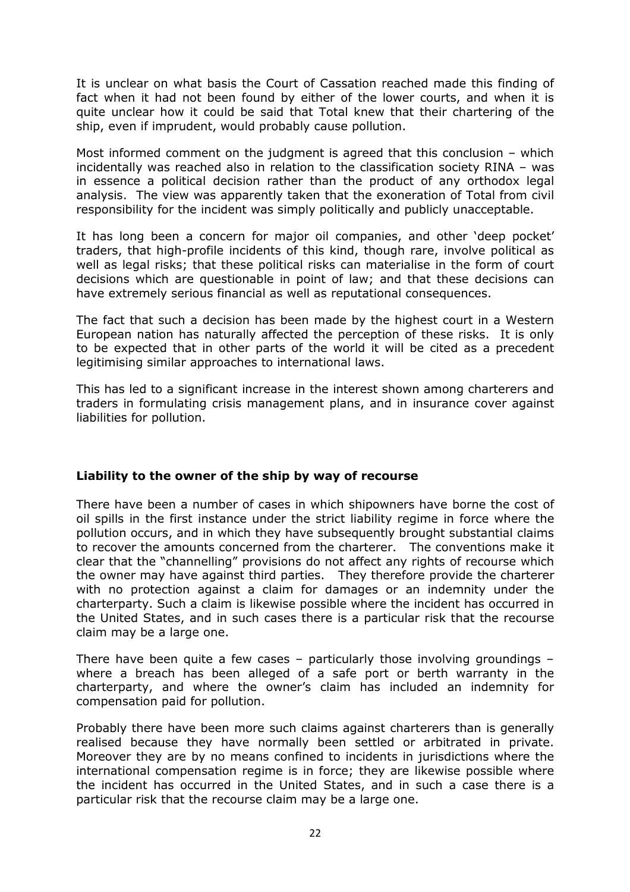It is unclear on what basis the Court of Cassation reached made this finding of fact when it had not been found by either of the lower courts, and when it is quite unclear how it could be said that Total knew that their chartering of the ship, even if imprudent, would probably cause pollution.

Most informed comment on the judgment is agreed that this conclusion – which incidentally was reached also in relation to the classification society RINA – was in essence a political decision rather than the product of any orthodox legal analysis. The view was apparently taken that the exoneration of Total from civil responsibility for the incident was simply politically and publicly unacceptable.

It has long been a concern for major oil companies, and other 'deep pocket' traders, that high-profile incidents of this kind, though rare, involve political as well as legal risks; that these political risks can materialise in the form of court decisions which are questionable in point of law; and that these decisions can have extremely serious financial as well as reputational consequences.

The fact that such a decision has been made by the highest court in a Western European nation has naturally affected the perception of these risks. It is only to be expected that in other parts of the world it will be cited as a precedent legitimising similar approaches to international laws.

This has led to a significant increase in the interest shown among charterers and traders in formulating crisis management plans, and in insurance cover against liabilities for pollution.

# Liability to the owner of the ship by way of recourse

There have been a number of cases in which shipowners have borne the cost of oil spills in the first instance under the strict liability regime in force where the pollution occurs, and in which they have subsequently brought substantial claims to recover the amounts concerned from the charterer. The conventions make it clear that the "channelling" provisions do not affect any rights of recourse which the owner may have against third parties. They therefore provide the charterer with no protection against a claim for damages or an indemnity under the charterparty. Such a claim is likewise possible where the incident has occurred in the United States, and in such cases there is a particular risk that the recourse claim may be a large one.

There have been quite a few cases – particularly those involving groundings – where a breach has been alleged of a safe port or berth warranty in the charterparty, and where the owner's claim has included an indemnity for compensation paid for pollution.

Probably there have been more such claims against charterers than is generally realised because they have normally been settled or arbitrated in private. Moreover they are by no means confined to incidents in jurisdictions where the international compensation regime is in force; they are likewise possible where the incident has occurred in the United States, and in such a case there is a particular risk that the recourse claim may be a large one.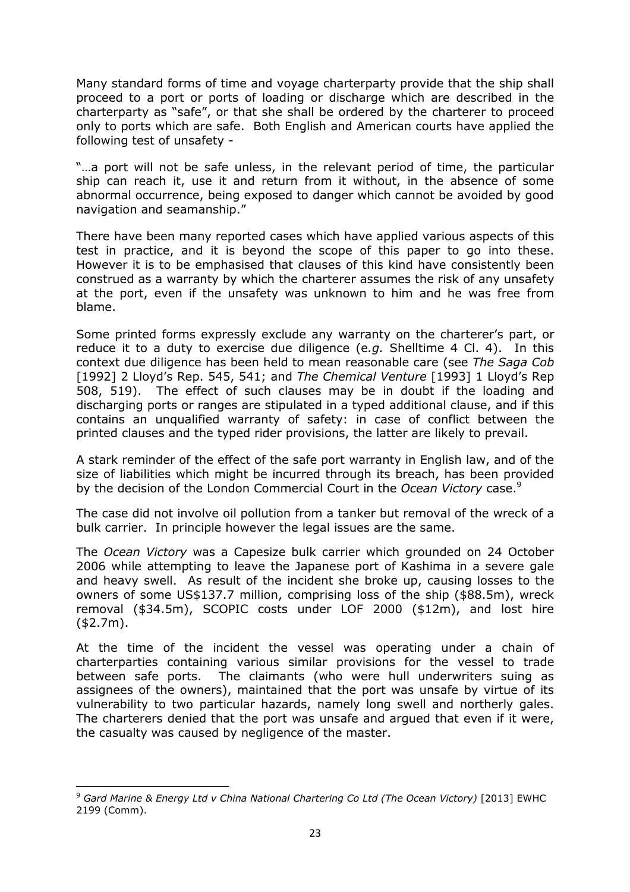Many standard forms of time and voyage charterparty provide that the ship shall proceed to a port or ports of loading or discharge which are described in the charterparty as "safe", or that she shall be ordered by the charterer to proceed only to ports which are safe. Both English and American courts have applied the following test of unsafety -

"…a port will not be safe unless, in the relevant period of time, the particular ship can reach it, use it and return from it without, in the absence of some abnormal occurrence, being exposed to danger which cannot be avoided by good navigation and seamanship."

There have been many reported cases which have applied various aspects of this test in practice, and it is beyond the scope of this paper to go into these. However it is to be emphasised that clauses of this kind have consistently been construed as a warranty by which the charterer assumes the risk of any unsafety at the port, even if the unsafety was unknown to him and he was free from blame.

Some printed forms expressly exclude any warranty on the charterer's part, or reduce it to a duty to exercise due diligence (e.g. Shelltime 4 Cl. 4). In this context due diligence has been held to mean reasonable care (see The Saga Cob [1992] 2 Lloyd's Rep. 545, 541; and The Chemical Venture [1993] 1 Lloyd's Rep 508, 519). The effect of such clauses may be in doubt if the loading and discharging ports or ranges are stipulated in a typed additional clause, and if this contains an unqualified warranty of safety: in case of conflict between the printed clauses and the typed rider provisions, the latter are likely to prevail.

A stark reminder of the effect of the safe port warranty in English law, and of the size of liabilities which might be incurred through its breach, has been provided by the decision of the London Commercial Court in the *Ocean Victory* case.<sup>9</sup>

The case did not involve oil pollution from a tanker but removal of the wreck of a bulk carrier. In principle however the legal issues are the same.

The Ocean Victory was a Capesize bulk carrier which grounded on 24 October 2006 while attempting to leave the Japanese port of Kashima in a severe gale and heavy swell. As result of the incident she broke up, causing losses to the owners of some US\$137.7 million, comprising loss of the ship (\$88.5m), wreck removal (\$34.5m), SCOPIC costs under LOF 2000 (\$12m), and lost hire (\$2.7m).

At the time of the incident the vessel was operating under a chain of charterparties containing various similar provisions for the vessel to trade between safe ports. The claimants (who were hull underwriters suing as assignees of the owners), maintained that the port was unsafe by virtue of its vulnerability to two particular hazards, namely long swell and northerly gales. The charterers denied that the port was unsafe and argued that even if it were, the casualty was caused by negligence of the master.

l

<sup>&</sup>lt;sup>9</sup> Gard Marine & Energy Ltd v China National Chartering Co Ltd (The Ocean Victory) [2013] EWHC 2199 (Comm).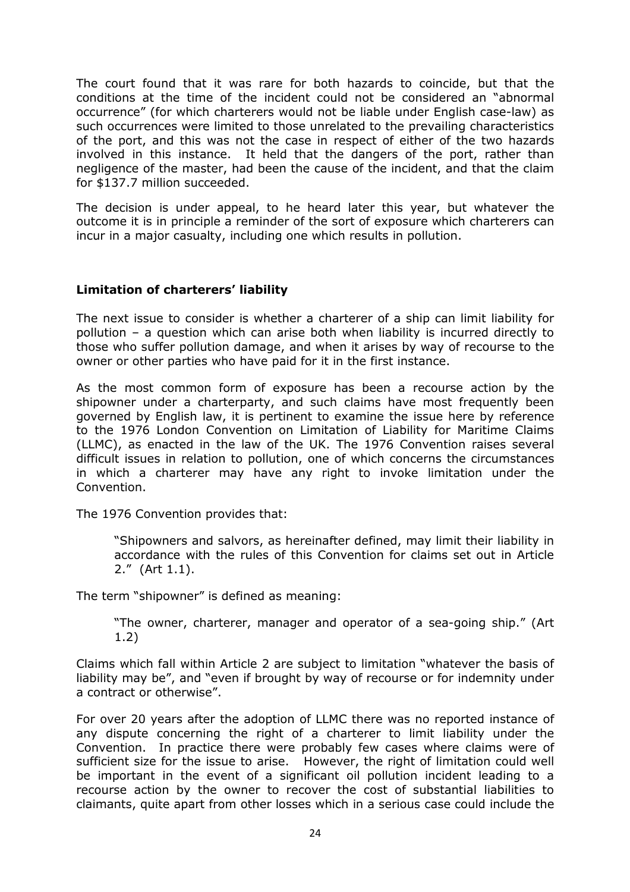The court found that it was rare for both hazards to coincide, but that the conditions at the time of the incident could not be considered an "abnormal occurrence" (for which charterers would not be liable under English case-law) as such occurrences were limited to those unrelated to the prevailing characteristics of the port, and this was not the case in respect of either of the two hazards involved in this instance. It held that the dangers of the port, rather than negligence of the master, had been the cause of the incident, and that the claim for \$137.7 million succeeded.

The decision is under appeal, to he heard later this year, but whatever the outcome it is in principle a reminder of the sort of exposure which charterers can incur in a major casualty, including one which results in pollution.

### Limitation of charterers' liability

The next issue to consider is whether a charterer of a ship can limit liability for pollution – a question which can arise both when liability is incurred directly to those who suffer pollution damage, and when it arises by way of recourse to the owner or other parties who have paid for it in the first instance.

As the most common form of exposure has been a recourse action by the shipowner under a charterparty, and such claims have most frequently been governed by English law, it is pertinent to examine the issue here by reference to the 1976 London Convention on Limitation of Liability for Maritime Claims (LLMC), as enacted in the law of the UK. The 1976 Convention raises several difficult issues in relation to pollution, one of which concerns the circumstances in which a charterer may have any right to invoke limitation under the Convention.

The 1976 Convention provides that:

 "Shipowners and salvors, as hereinafter defined, may limit their liability in accordance with the rules of this Convention for claims set out in Article 2." (Art 1.1).

The term "shipowner" is defined as meaning:

 "The owner, charterer, manager and operator of a sea-going ship." (Art 1.2)

Claims which fall within Article 2 are subject to limitation "whatever the basis of liability may be", and "even if brought by way of recourse or for indemnity under a contract or otherwise".

For over 20 years after the adoption of LLMC there was no reported instance of any dispute concerning the right of a charterer to limit liability under the Convention. In practice there were probably few cases where claims were of sufficient size for the issue to arise. However, the right of limitation could well be important in the event of a significant oil pollution incident leading to a recourse action by the owner to recover the cost of substantial liabilities to claimants, quite apart from other losses which in a serious case could include the